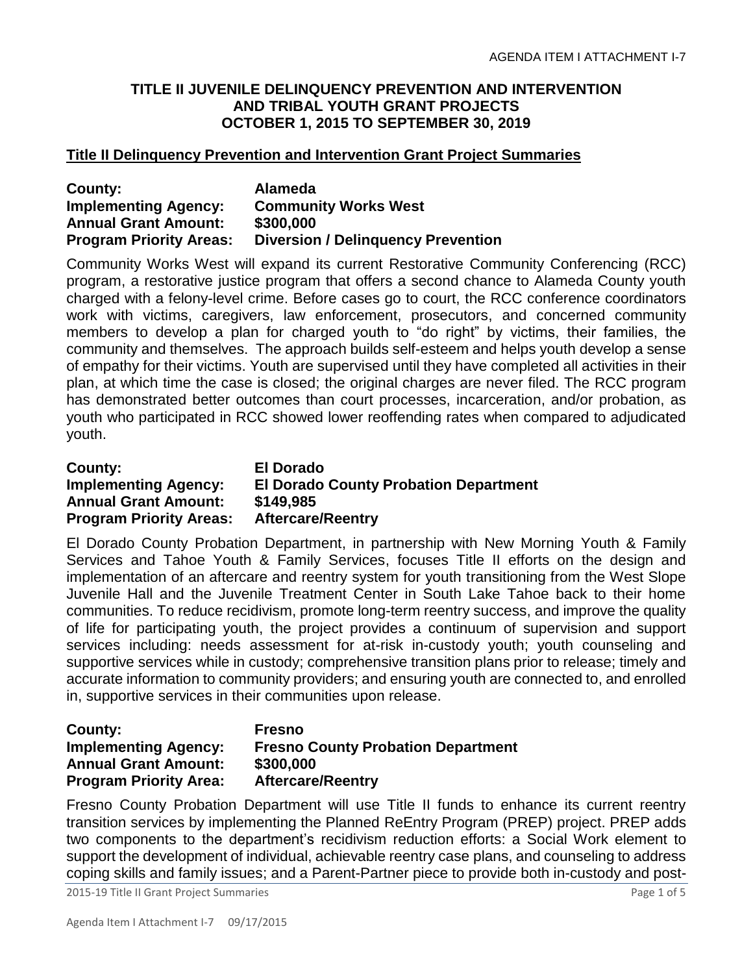## **TITLE II JUVENILE DELINQUENCY PREVENTION AND INTERVENTION AND TRIBAL YOUTH GRANT PROJECTS OCTOBER 1, 2015 TO SEPTEMBER 30, 2019**

### **Title II Delinquency Prevention and Intervention Grant Project Summaries**

| County:                        | Alameda                                   |
|--------------------------------|-------------------------------------------|
| <b>Implementing Agency:</b>    | <b>Community Works West</b>               |
| <b>Annual Grant Amount:</b>    | \$300,000                                 |
| <b>Program Priority Areas:</b> | <b>Diversion / Delinguency Prevention</b> |

Community Works West will expand its current Restorative Community Conferencing (RCC) program, a restorative justice program that offers a second chance to Alameda County youth charged with a felony-level crime. Before cases go to court, the RCC conference coordinators work with victims, caregivers, law enforcement, prosecutors, and concerned community members to develop a plan for charged youth to "do right" by victims, their families, the community and themselves. The approach builds self-esteem and helps youth develop a sense of empathy for their victims. Youth are supervised until they have completed all activities in their plan, at which time the case is closed; the original charges are never filed. The RCC program has demonstrated better outcomes than court processes, incarceration, and/or probation, as youth who participated in RCC showed lower reoffending rates when compared to adjudicated youth.

| <b>County:</b>                 | <b>El Dorado</b>                             |
|--------------------------------|----------------------------------------------|
| <b>Implementing Agency:</b>    | <b>El Dorado County Probation Department</b> |
| <b>Annual Grant Amount:</b>    | \$149,985                                    |
| <b>Program Priority Areas:</b> | <b>Aftercare/Reentry</b>                     |

El Dorado County Probation Department, in partnership with New Morning Youth & Family Services and Tahoe Youth & Family Services, focuses Title II efforts on the design and implementation of an aftercare and reentry system for youth transitioning from the West Slope Juvenile Hall and the Juvenile Treatment Center in South Lake Tahoe back to their home communities. To reduce recidivism, promote long-term reentry success, and improve the quality of life for participating youth, the project provides a continuum of supervision and support services including: needs assessment for at-risk in-custody youth; youth counseling and supportive services while in custody; comprehensive transition plans prior to release; timely and accurate information to community providers; and ensuring youth are connected to, and enrolled in, supportive services in their communities upon release.

#### **County: Fresno Implementing Agency: Fresno County Probation Department Annual Grant Amount: \$300,000 Program Priority Area: Aftercare/Reentry**

Fresno County Probation Department will use Title II funds to enhance its current reentry transition services by implementing the Planned ReEntry Program (PREP) project. PREP adds two components to the department's recidivism reduction efforts: a Social Work element to support the development of individual, achievable reentry case plans, and counseling to address coping skills and family issues; and a Parent-Partner piece to provide both in-custody and post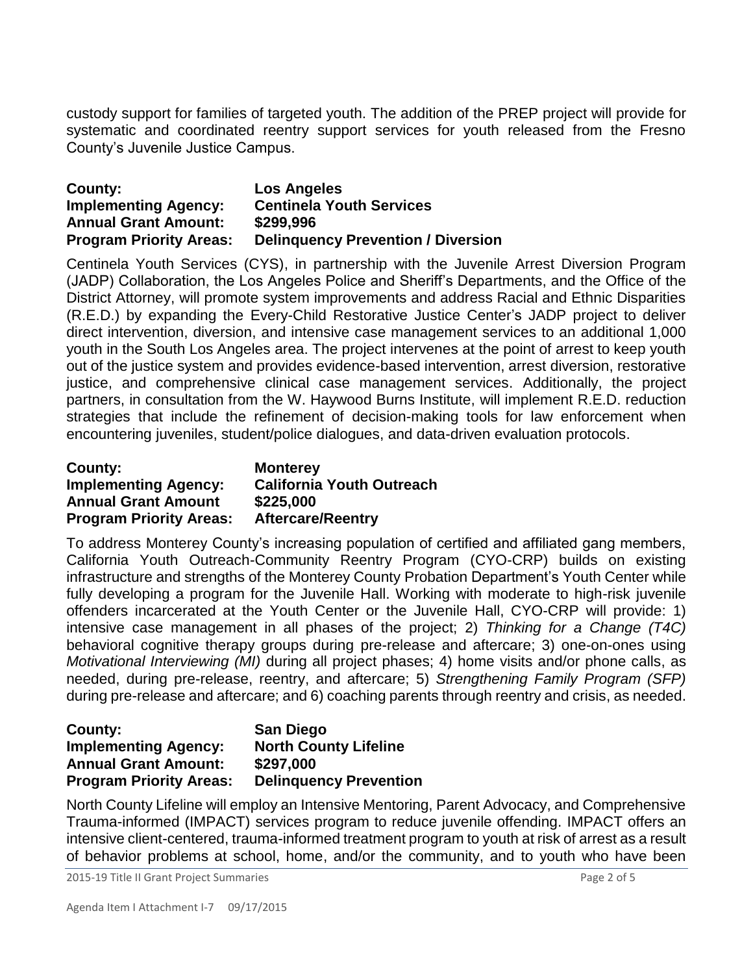custody support for families of targeted youth. The addition of the PREP project will provide for systematic and coordinated reentry support services for youth released from the Fresno County's Juvenile Justice Campus.

| County:                        | <b>Los Angeles</b>                        |
|--------------------------------|-------------------------------------------|
| <b>Implementing Agency:</b>    | <b>Centinela Youth Services</b>           |
| <b>Annual Grant Amount:</b>    | \$299,996                                 |
| <b>Program Priority Areas:</b> | <b>Delinguency Prevention / Diversion</b> |

Centinela Youth Services (CYS), in partnership with the Juvenile Arrest Diversion Program (JADP) Collaboration, the Los Angeles Police and Sheriff's Departments, and the Office of the District Attorney, will promote system improvements and address Racial and Ethnic Disparities (R.E.D.) by expanding the Every-Child Restorative Justice Center's JADP project to deliver direct intervention, diversion, and intensive case management services to an additional 1,000 youth in the South Los Angeles area. The project intervenes at the point of arrest to keep youth out of the justice system and provides evidence-based intervention, arrest diversion, restorative justice, and comprehensive clinical case management services. Additionally, the project partners, in consultation from the W. Haywood Burns Institute, will implement R.E.D. reduction strategies that include the refinement of decision-making tools for law enforcement when encountering juveniles, student/police dialogues, and data-driven evaluation protocols.

| County:                        | <b>Monterey</b>                  |
|--------------------------------|----------------------------------|
| <b>Implementing Agency:</b>    | <b>California Youth Outreach</b> |
| <b>Annual Grant Amount</b>     | \$225,000                        |
| <b>Program Priority Areas:</b> | <b>Aftercare/Reentry</b>         |

To address Monterey County's increasing population of certified and affiliated gang members, California Youth Outreach-Community Reentry Program (CYO-CRP) builds on existing infrastructure and strengths of the Monterey County Probation Department's Youth Center while fully developing a program for the Juvenile Hall. Working with moderate to high-risk juvenile offenders incarcerated at the Youth Center or the Juvenile Hall, CYO-CRP will provide: 1) intensive case management in all phases of the project; 2) *Thinking for a Change (T4C)*  behavioral cognitive therapy groups during pre-release and aftercare; 3) one-on-ones using *Motivational Interviewing (MI)* during all project phases; 4) home visits and/or phone calls, as needed, during pre-release, reentry, and aftercare; 5) *Strengthening Family Program (SFP)*  during pre-release and aftercare; and 6) coaching parents through reentry and crisis, as needed.

#### **County: San Diego Implementing Agency: North County Lifeline Annual Grant Amount: \$297,000 Program Priority Areas: Delinquency Prevention**

North County Lifeline will employ an Intensive Mentoring, Parent Advocacy, and Comprehensive Trauma-informed (IMPACT) services program to reduce juvenile offending. IMPACT offers an intensive client-centered, trauma-informed treatment program to youth at risk of arrest as a result of behavior problems at school, home, and/or the community, and to youth who have been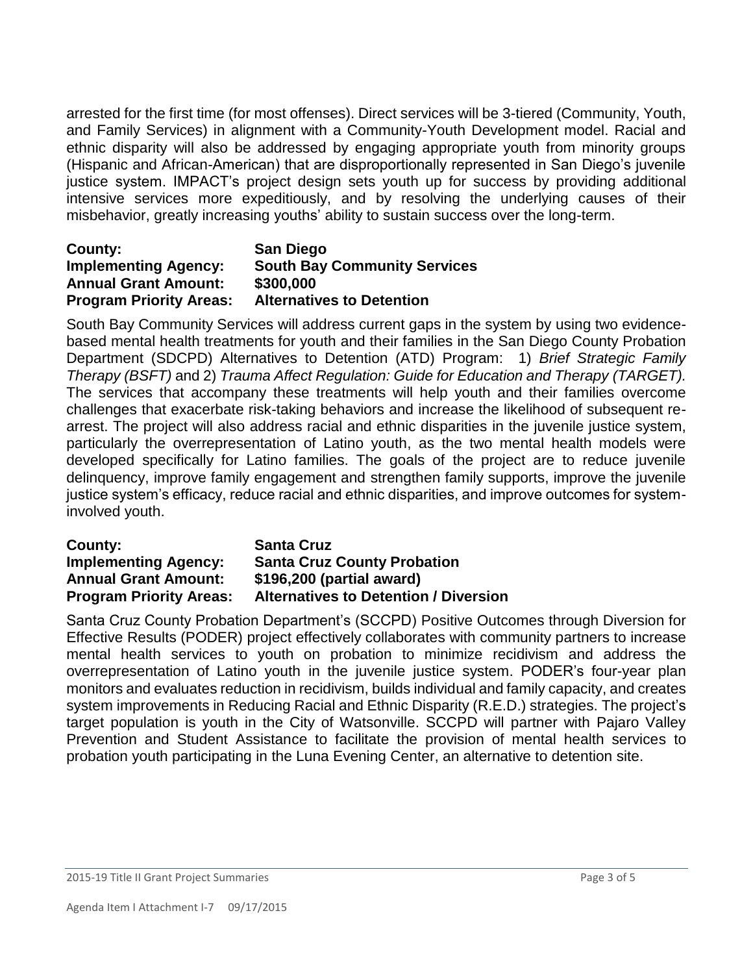arrested for the first time (for most offenses). Direct services will be 3-tiered (Community, Youth, and Family Services) in alignment with a Community-Youth Development model. Racial and ethnic disparity will also be addressed by engaging appropriate youth from minority groups (Hispanic and African-American) that are disproportionally represented in San Diego's juvenile justice system. IMPACT's project design sets youth up for success by providing additional intensive services more expeditiously, and by resolving the underlying causes of their misbehavior, greatly increasing youths' ability to sustain success over the long-term.

## **County: San Diego Implementing Agency: South Bay Community Services Annual Grant Amount: \$300,000 Program Priority Areas: Alternatives to Detention**

South Bay Community Services will address current gaps in the system by using two evidencebased mental health treatments for youth and their families in the San Diego County Probation Department (SDCPD) Alternatives to Detention (ATD) Program: 1) *Brief Strategic Family Therapy (BSFT)* and 2) *Trauma Affect Regulation: Guide for Education and Therapy (TARGET).*  The services that accompany these treatments will help youth and their families overcome challenges that exacerbate risk-taking behaviors and increase the likelihood of subsequent rearrest. The project will also address racial and ethnic disparities in the juvenile justice system, particularly the overrepresentation of Latino youth, as the two mental health models were developed specifically for Latino families. The goals of the project are to reduce juvenile delinquency, improve family engagement and strengthen family supports, improve the juvenile justice system's efficacy, reduce racial and ethnic disparities, and improve outcomes for systeminvolved youth.

| County:                        | <b>Santa Cruz</b>                            |
|--------------------------------|----------------------------------------------|
| <b>Implementing Agency:</b>    | <b>Santa Cruz County Probation</b>           |
| <b>Annual Grant Amount:</b>    | \$196,200 (partial award)                    |
| <b>Program Priority Areas:</b> | <b>Alternatives to Detention / Diversion</b> |

Santa Cruz County Probation Department's (SCCPD) Positive Outcomes through Diversion for Effective Results (PODER) project effectively collaborates with community partners to increase mental health services to youth on probation to minimize recidivism and address the overrepresentation of Latino youth in the juvenile justice system. PODER's four-year plan monitors and evaluates reduction in recidivism, builds individual and family capacity, and creates system improvements in Reducing Racial and Ethnic Disparity (R.E.D.) strategies. The project's target population is youth in the City of Watsonville. SCCPD will partner with Pajaro Valley Prevention and Student Assistance to facilitate the provision of mental health services to probation youth participating in the Luna Evening Center, an alternative to detention site.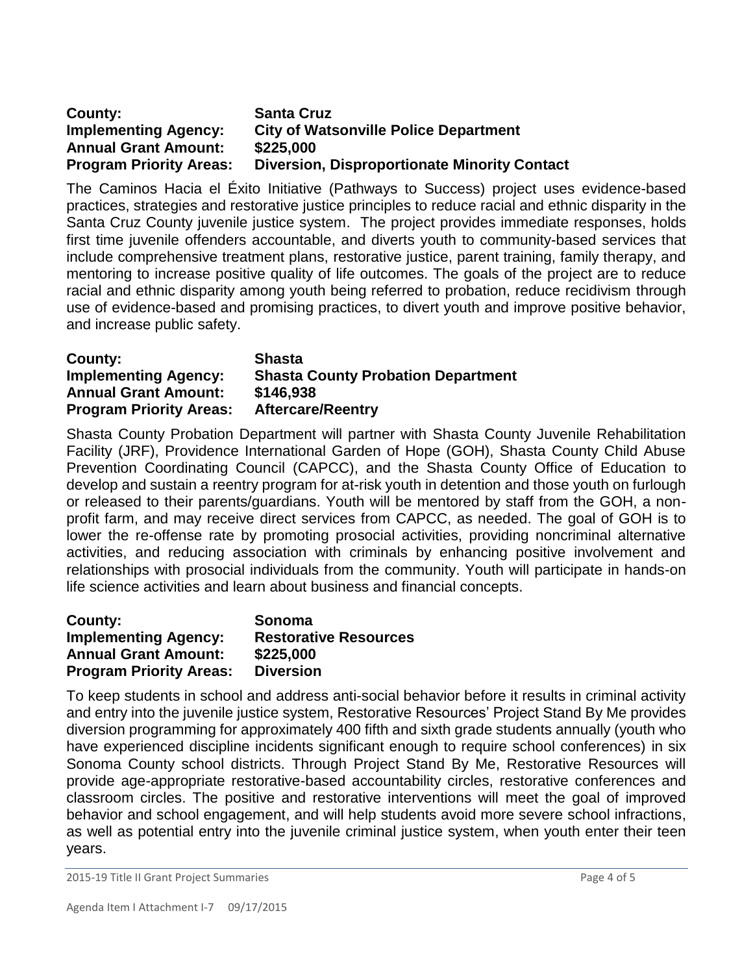## **County: Santa Cruz Implementing Agency: City of Watsonville Police Department Annual Grant Amount: \$225,000 Program Priority Areas: Diversion, Disproportionate Minority Contact**

The Caminos Hacia el Éxito Initiative (Pathways to Success) project uses evidence-based practices, strategies and restorative justice principles to reduce racial and ethnic disparity in the Santa Cruz County juvenile justice system. The project provides immediate responses, holds first time juvenile offenders accountable, and diverts youth to community-based services that include comprehensive treatment plans, restorative justice, parent training, family therapy, and mentoring to increase positive quality of life outcomes. The goals of the project are to reduce racial and ethnic disparity among youth being referred to probation, reduce recidivism through use of evidence-based and promising practices, to divert youth and improve positive behavior, and increase public safety.

| County:<br><b>Implementing Agency:</b> | <b>Shasta</b><br><b>Shasta County Probation Department</b> |
|----------------------------------------|------------------------------------------------------------|
| <b>Annual Grant Amount:</b>            | \$146,938                                                  |
| <b>Program Priority Areas:</b>         | <b>Aftercare/Reentry</b>                                   |

Shasta County Probation Department will partner with Shasta County Juvenile Rehabilitation Facility (JRF), Providence International Garden of Hope (GOH), Shasta County Child Abuse Prevention Coordinating Council (CAPCC), and the Shasta County Office of Education to develop and sustain a reentry program for at-risk youth in detention and those youth on furlough or released to their parents/guardians. Youth will be mentored by staff from the GOH, a nonprofit farm, and may receive direct services from CAPCC, as needed. The goal of GOH is to lower the re-offense rate by promoting prosocial activities, providing noncriminal alternative activities, and reducing association with criminals by enhancing positive involvement and relationships with prosocial individuals from the community. Youth will participate in hands-on life science activities and learn about business and financial concepts.

| County:                        | Sonoma                       |
|--------------------------------|------------------------------|
| <b>Implementing Agency:</b>    | <b>Restorative Resources</b> |
| <b>Annual Grant Amount:</b>    | \$225,000                    |
| <b>Program Priority Areas:</b> | <b>Diversion</b>             |

To keep students in school and address anti-social behavior before it results in criminal activity and entry into the juvenile justice system, Restorative Resources' Project Stand By Me provides diversion programming for approximately 400 fifth and sixth grade students annually (youth who have experienced discipline incidents significant enough to require school conferences) in six Sonoma County school districts. Through Project Stand By Me, Restorative Resources will provide age-appropriate restorative-based accountability circles, restorative conferences and classroom circles. The positive and restorative interventions will meet the goal of improved behavior and school engagement, and will help students avoid more severe school infractions, as well as potential entry into the juvenile criminal justice system, when youth enter their teen years.

2015-19 Title II Grant Project Summaries Page 4 of 5